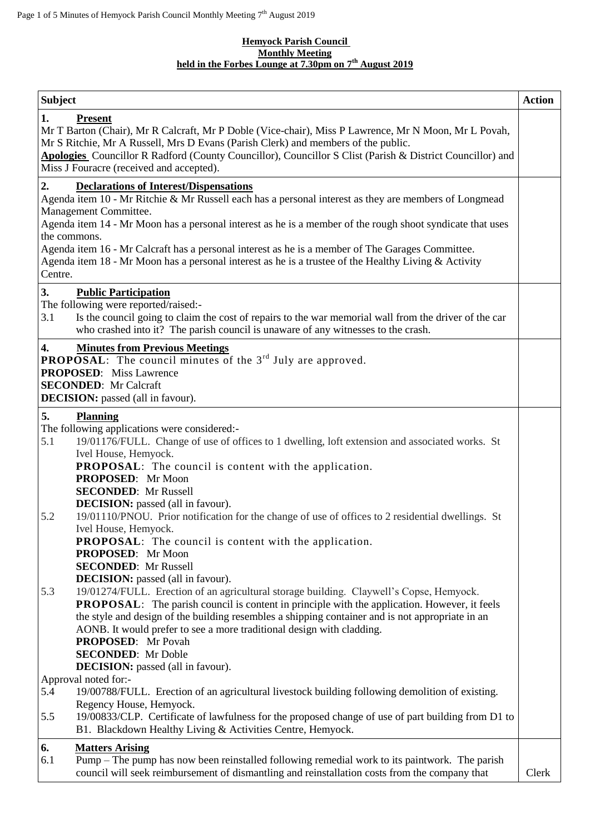## **Hemyock Parish Council Monthly Meeting held in the Forbes Lounge at 7.30pm on 7 th August 2019**

| <b>Subject</b>                                                                                                                                                                                                                                                                                                                                                                                                                                                                                                                                                               | <b>Action</b> |
|------------------------------------------------------------------------------------------------------------------------------------------------------------------------------------------------------------------------------------------------------------------------------------------------------------------------------------------------------------------------------------------------------------------------------------------------------------------------------------------------------------------------------------------------------------------------------|---------------|
| 1.<br><b>Present</b><br>Mr T Barton (Chair), Mr R Calcraft, Mr P Doble (Vice-chair), Miss P Lawrence, Mr N Moon, Mr L Povah,<br>Mr S Ritchie, Mr A Russell, Mrs D Evans (Parish Clerk) and members of the public.<br>Apologies Councillor R Radford (County Councillor), Councillor S Clist (Parish & District Councillor) and<br>Miss J Fouracre (received and accepted).                                                                                                                                                                                                   |               |
| 2.<br><b>Declarations of Interest/Dispensations</b><br>Agenda item 10 - Mr Ritchie & Mr Russell each has a personal interest as they are members of Longmead<br>Management Committee.<br>Agenda item 14 - Mr Moon has a personal interest as he is a member of the rough shoot syndicate that uses<br>the commons.<br>Agenda item 16 - Mr Calcraft has a personal interest as he is a member of The Garages Committee.<br>Agenda item 18 - Mr Moon has a personal interest as he is a trustee of the Healthy Living & Activity<br>Centre.                                    |               |
| 3.<br><b>Public Participation</b><br>The following were reported/raised:-<br>3.1<br>Is the council going to claim the cost of repairs to the war memorial wall from the driver of the car<br>who crashed into it? The parish council is unaware of any witnesses to the crash.                                                                                                                                                                                                                                                                                               |               |
| 4.<br><b>Minutes from Previous Meetings</b><br><b>PROPOSAL:</b> The council minutes of the $3rd$ July are approved.<br><b>PROPOSED:</b> Miss Lawrence<br><b>SECONDED:</b> Mr Calcraft<br><b>DECISION:</b> passed (all in favour).                                                                                                                                                                                                                                                                                                                                            |               |
| 5.<br><b>Planning</b><br>The following applications were considered:-<br>19/01176/FULL. Change of use of offices to 1 dwelling, loft extension and associated works. St<br>5.1<br>Ivel House, Hemyock.<br><b>PROPOSAL:</b> The council is content with the application.<br>PROPOSED: Mr Moon<br><b>SECONDED:</b> Mr Russell<br><b>DECISION:</b> passed (all in favour).<br>19/01110/PNOU. Prior notification for the change of use of offices to 2 residential dwellings. St<br>5.2<br>Ivel House, Hemyock.<br><b>PROPOSAL:</b> The council is content with the application. |               |
| PROPOSED: Mr Moon<br><b>SECONDED:</b> Mr Russell<br><b>DECISION:</b> passed (all in favour).<br>19/01274/FULL. Erection of an agricultural storage building. Claywell's Copse, Hemyock.<br>5.3<br>PROPOSAL: The parish council is content in principle with the application. However, it feels<br>the style and design of the building resembles a shipping container and is not appropriate in an<br>AONB. It would prefer to see a more traditional design with cladding.<br>PROPOSED: Mr Povah<br><b>SECONDED:</b> Mr Doble                                               |               |
| <b>DECISION:</b> passed (all in favour).<br>Approval noted for:-<br>19/00788/FULL. Erection of an agricultural livestock building following demolition of existing.<br>5.4<br>Regency House, Hemyock.<br>19/00833/CLP. Certificate of lawfulness for the proposed change of use of part building from D1 to<br>5.5<br>B1. Blackdown Healthy Living & Activities Centre, Hemyock.                                                                                                                                                                                             |               |
| 6.<br><b>Matters Arising</b><br>Pump – The pump has now been reinstalled following remedial work to its paintwork. The parish<br>6.1<br>council will seek reimbursement of dismantling and reinstallation costs from the company that                                                                                                                                                                                                                                                                                                                                        | Clerk         |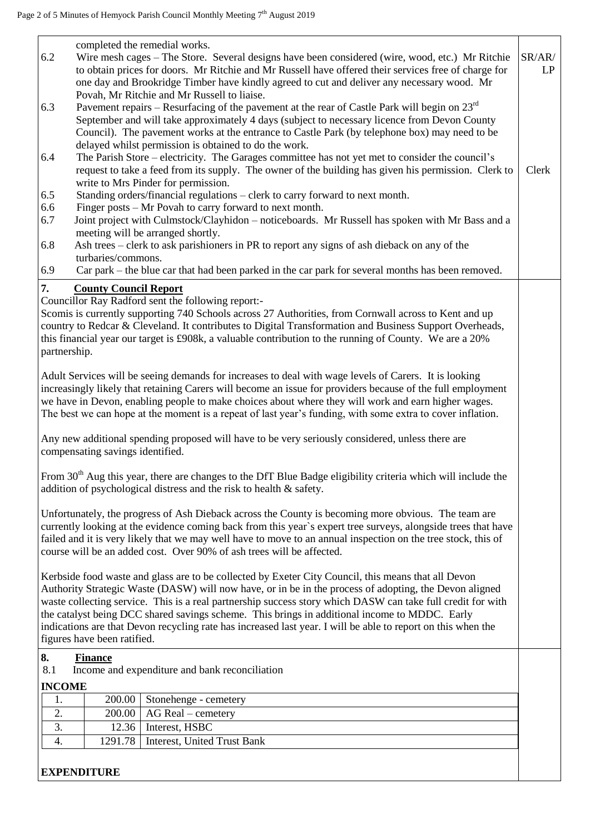| completed the remedial works.                                                                                                                                                                                    |        |  |  |  |
|------------------------------------------------------------------------------------------------------------------------------------------------------------------------------------------------------------------|--------|--|--|--|
| 6.2<br>Wire mesh cages - The Store. Several designs have been considered (wire, wood, etc.) Mr Ritchie                                                                                                           | SR/AR/ |  |  |  |
| to obtain prices for doors. Mr Ritchie and Mr Russell have offered their services free of charge for                                                                                                             | LP     |  |  |  |
| one day and Brookridge Timber have kindly agreed to cut and deliver any necessary wood. Mr                                                                                                                       |        |  |  |  |
| Povah, Mr Ritchie and Mr Russell to liaise.                                                                                                                                                                      |        |  |  |  |
| 6.3<br>Pavement repairs – Resurfacing of the pavement at the rear of Castle Park will begin on $23rd$                                                                                                            |        |  |  |  |
| September and will take approximately 4 days (subject to necessary licence from Devon County                                                                                                                     |        |  |  |  |
| Council). The pavement works at the entrance to Castle Park (by telephone box) may need to be                                                                                                                    |        |  |  |  |
| delayed whilst permission is obtained to do the work.                                                                                                                                                            |        |  |  |  |
| The Parish Store – electricity. The Garages committee has not yet met to consider the council's<br>6.4                                                                                                           |        |  |  |  |
| request to take a feed from its supply. The owner of the building has given his permission. Clerk to<br>write to Mrs Pinder for permission.                                                                      | Clerk  |  |  |  |
| 6.5<br>Standing orders/financial regulations - clerk to carry forward to next month.                                                                                                                             |        |  |  |  |
| Finger posts – Mr Povah to carry forward to next month.<br>6.6                                                                                                                                                   |        |  |  |  |
| 6.7<br>Joint project with Culmstock/Clayhidon – noticeboards. Mr Russell has spoken with Mr Bass and a                                                                                                           |        |  |  |  |
| meeting will be arranged shortly.                                                                                                                                                                                |        |  |  |  |
| Ash trees – clerk to ask parishioners in PR to report any signs of ash dieback on any of the<br>6.8                                                                                                              |        |  |  |  |
| turbaries/commons.                                                                                                                                                                                               |        |  |  |  |
| 6.9<br>Car park – the blue car that had been parked in the car park for several months has been removed.                                                                                                         |        |  |  |  |
|                                                                                                                                                                                                                  |        |  |  |  |
| 7.<br><b>County Council Report</b><br>Councillor Ray Radford sent the following report:-                                                                                                                         |        |  |  |  |
|                                                                                                                                                                                                                  |        |  |  |  |
| Scomis is currently supporting 740 Schools across 27 Authorities, from Cornwall across to Kent and up<br>country to Redcar & Cleveland. It contributes to Digital Transformation and Business Support Overheads, |        |  |  |  |
| this financial year our target is £908k, a valuable contribution to the running of County. We are a 20%                                                                                                          |        |  |  |  |
| partnership.                                                                                                                                                                                                     |        |  |  |  |
|                                                                                                                                                                                                                  |        |  |  |  |
| Adult Services will be seeing demands for increases to deal with wage levels of Carers. It is looking                                                                                                            |        |  |  |  |
| increasingly likely that retaining Carers will become an issue for providers because of the full employment                                                                                                      |        |  |  |  |
| we have in Devon, enabling people to make choices about where they will work and earn higher wages.                                                                                                              |        |  |  |  |
| The best we can hope at the moment is a repeat of last year's funding, with some extra to cover inflation.                                                                                                       |        |  |  |  |
|                                                                                                                                                                                                                  |        |  |  |  |
| Any new additional spending proposed will have to be very seriously considered, unless there are                                                                                                                 |        |  |  |  |
| compensating savings identified.                                                                                                                                                                                 |        |  |  |  |
|                                                                                                                                                                                                                  |        |  |  |  |
| From 30 <sup>th</sup> Aug this year, there are changes to the DfT Blue Badge eligibility criteria which will include the                                                                                         |        |  |  |  |
| addition of psychological distress and the risk to health & safety.                                                                                                                                              |        |  |  |  |
|                                                                                                                                                                                                                  |        |  |  |  |
| Unfortunately, the progress of Ash Dieback across the County is becoming more obvious. The team are                                                                                                              |        |  |  |  |
| currently looking at the evidence coming back from this year's expert tree surveys, alongside trees that have                                                                                                    |        |  |  |  |
| failed and it is very likely that we may well have to move to an annual inspection on the tree stock, this of                                                                                                    |        |  |  |  |
| course will be an added cost. Over 90% of ash trees will be affected.                                                                                                                                            |        |  |  |  |
|                                                                                                                                                                                                                  |        |  |  |  |
| Kerbside food waste and glass are to be collected by Exeter City Council, this means that all Devon                                                                                                              |        |  |  |  |
| Authority Strategic Waste (DASW) will now have, or in be in the process of adopting, the Devon aligned                                                                                                           |        |  |  |  |
| waste collecting service. This is a real partnership success story which DASW can take full credit for with                                                                                                      |        |  |  |  |
| the catalyst being DCC shared savings scheme. This brings in additional income to MDDC. Early                                                                                                                    |        |  |  |  |
| indications are that Devon recycling rate has increased last year. I will be able to report on this when the                                                                                                     |        |  |  |  |
| figures have been ratified.                                                                                                                                                                                      |        |  |  |  |
| 8.<br><b>Finance</b>                                                                                                                                                                                             |        |  |  |  |
| 8.1<br>Income and expenditure and bank reconciliation                                                                                                                                                            |        |  |  |  |
| <b>INCOME</b>                                                                                                                                                                                                    |        |  |  |  |
| 200.00<br>Stonehenge - cemetery<br>1.                                                                                                                                                                            |        |  |  |  |
| 2.<br>AG Real - cemetery<br>200.00                                                                                                                                                                               |        |  |  |  |
| 3.<br>Interest, HSBC<br>12.36                                                                                                                                                                                    |        |  |  |  |
| 1291.78<br><b>Interest, United Trust Bank</b><br>4.                                                                                                                                                              |        |  |  |  |
|                                                                                                                                                                                                                  |        |  |  |  |
|                                                                                                                                                                                                                  |        |  |  |  |
| <b>EXPENDITURE</b>                                                                                                                                                                                               |        |  |  |  |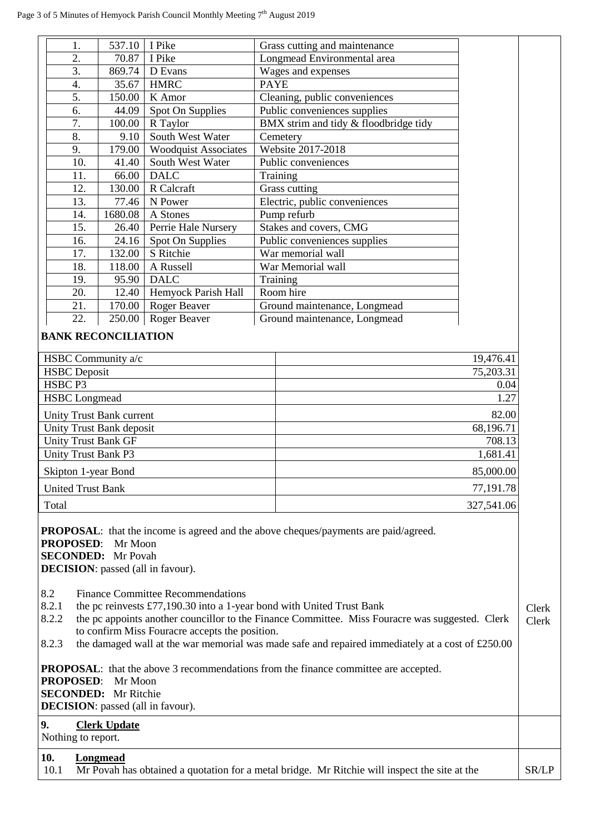|     | 537.10  | I Pike                      | Grass cutting and maintenance         |
|-----|---------|-----------------------------|---------------------------------------|
| 2.  | 70.87   | I Pike                      | Longmead Environmental area           |
| 3.  | 869.74  | D Evans                     | Wages and expenses                    |
| 4.  | 35.67   | <b>HMRC</b>                 | <b>PAYE</b>                           |
| 5.  | 150.00  | K Amor                      | Cleaning, public conveniences         |
| 6.  | 44.09   | Spot On Supplies            | Public conveniences supplies          |
| 7.  | 100.00  | R Taylor                    | BMX strim and tidy & floodbridge tidy |
| 8.  | 9.10    | South West Water            | Cemetery                              |
| 9.  | 179.00  | <b>Woodquist Associates</b> | Website 2017-2018                     |
| 10. | 41.40   | South West Water            | Public conveniences                   |
| 11. | 66.00   | <b>DALC</b>                 | Training                              |
| 12. | 130.00  | R Calcraft                  | Grass cutting                         |
| 13. | 77.46   | N Power                     | Electric, public conveniences         |
| 14. | 1680.08 | A Stones                    | Pump refurb                           |
| 15. | 26.40   | Perrie Hale Nursery         | Stakes and covers, CMG                |
| 16. | 24.16   | Spot On Supplies            | Public conveniences supplies          |
| 17. | 132.00  | S Ritchie                   | War memorial wall                     |
| 18. | 118.00  | A Russell                   | War Memorial wall                     |
| 19. | 95.90   | <b>DALC</b>                 | Training                              |
| 20. | 12.40   | Hemyock Parish Hall         | Room hire                             |
| 21. | 170.00  | Roger Beaver                | Ground maintenance, Longmead          |
| 22. | 250.00  | Roger Beaver                | Ground maintenance, Longmead          |

| HSBC Community a/c         | 19,476.41  |
|----------------------------|------------|
| <b>HSBC</b> Deposit        | 75,203.31  |
| HSBC <sub>P3</sub>         | 0.04       |
| <b>HSBC</b> Longmead       | 1.27       |
| Unity Trust Bank current   | 82.00      |
| Unity Trust Bank deposit   | 68,196.71  |
| <b>Unity Trust Bank GF</b> | 708.13     |
| <b>Unity Trust Bank P3</b> | 1,681.41   |
| Skipton 1-year Bond        | 85,000.00  |
| <b>United Trust Bank</b>   | 77,191.78  |
| Total                      | 327,541.06 |

**PROPOSAL**: that the income is agreed and the above cheques/payments are paid/agreed.

**PROPOSED**: Mr Moon **SECONDED:** Mr Povah **DECISION**: passed (all in favour).

8.2 Finance Committee Recommendations

- 8.2.1 the pc reinvests £77,190.30 into a 1-year bond with United Trust Bank
- 8.2.2 the pc appoints another councillor to the Finance Committee. Miss Fouracre was suggested. Clerk to confirm Miss Fouracre accepts the position. Clerk

Clerk

8.2.3 the damaged wall at the war memorial was made safe and repaired immediately at a cost of £250.00

**PROPOSAL:** that the above 3 recommendations from the finance committee are accepted. **PROPOSED**: Mr Moon **SECONDED:** Mr Ritchie **DECISION**: passed (all in favour).

## **9. Clerk Update**

Nothing to report.

## **10. Longmead**

10.1 Mr Povah has obtained a quotation for a metal bridge. Mr Ritchie will inspect the site at the SR/LP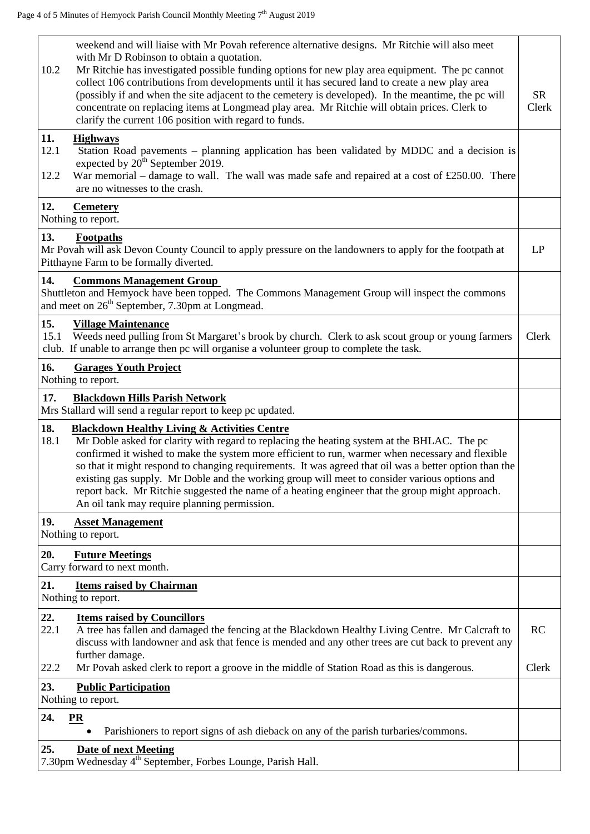| 10.2                                                     | weekend and will liaise with Mr Povah reference alternative designs. Mr Ritchie will also meet<br>with Mr D Robinson to obtain a quotation.<br>Mr Ritchie has investigated possible funding options for new play area equipment. The pc cannot<br>collect 106 contributions from developments until it has secured land to create a new play area<br>(possibly if and when the site adjacent to the cemetery is developed). In the meantime, the pc will<br>concentrate on replacing items at Longmead play area. Mr Ritchie will obtain prices. Clerk to<br>clarify the current 106 position with regard to funds.      | <b>SR</b><br>Clerk |
|----------------------------------------------------------|--------------------------------------------------------------------------------------------------------------------------------------------------------------------------------------------------------------------------------------------------------------------------------------------------------------------------------------------------------------------------------------------------------------------------------------------------------------------------------------------------------------------------------------------------------------------------------------------------------------------------|--------------------|
| 11.<br>12.1<br>12.2                                      | <b>Highways</b><br>Station Road pavements – planning application has been validated by MDDC and a decision is<br>expected by 20 <sup>th</sup> September 2019.<br>War memorial – damage to wall. The wall was made safe and repaired at a cost of £250.00. There<br>are no witnesses to the crash.                                                                                                                                                                                                                                                                                                                        |                    |
| 12.                                                      | <b>Cemetery</b><br>Nothing to report.                                                                                                                                                                                                                                                                                                                                                                                                                                                                                                                                                                                    |                    |
| 13.                                                      | Footpaths<br>Mr Povah will ask Devon County Council to apply pressure on the landowners to apply for the footpath at<br>Pitthayne Farm to be formally diverted.                                                                                                                                                                                                                                                                                                                                                                                                                                                          | LP                 |
| 14.                                                      | <b>Commons Management Group</b><br>Shuttleton and Hemyock have been topped. The Commons Management Group will inspect the commons<br>and meet on 26 <sup>th</sup> September, 7.30pm at Longmead.                                                                                                                                                                                                                                                                                                                                                                                                                         |                    |
| 15.<br>15.1                                              | <b>Village Maintenance</b><br>Weeds need pulling from St Margaret's brook by church. Clerk to ask scout group or young farmers<br>club. If unable to arrange then pc will organise a volunteer group to complete the task.                                                                                                                                                                                                                                                                                                                                                                                               | Clerk              |
| 16.                                                      | <b>Garages Youth Project</b><br>Nothing to report.                                                                                                                                                                                                                                                                                                                                                                                                                                                                                                                                                                       |                    |
| 17.                                                      | <b>Blackdown Hills Parish Network</b><br>Mrs Stallard will send a regular report to keep pc updated.                                                                                                                                                                                                                                                                                                                                                                                                                                                                                                                     |                    |
| 18.<br>18.1                                              | <b>Blackdown Healthy Living &amp; Activities Centre</b><br>Mr Doble asked for clarity with regard to replacing the heating system at the BHLAC. The pc<br>confirmed it wished to make the system more efficient to run, warmer when necessary and flexible<br>so that it might respond to changing requirements. It was agreed that oil was a better option than the<br>existing gas supply. Mr Doble and the working group will meet to consider various options and<br>report back. Mr Ritchie suggested the name of a heating engineer that the group might approach.<br>An oil tank may require planning permission. |                    |
| 19.                                                      | <b>Asset Management</b><br>Nothing to report.                                                                                                                                                                                                                                                                                                                                                                                                                                                                                                                                                                            |                    |
| 20.                                                      | <b>Future Meetings</b><br>Carry forward to next month.                                                                                                                                                                                                                                                                                                                                                                                                                                                                                                                                                                   |                    |
| 21.                                                      | <b>Items raised by Chairman</b><br>Nothing to report.                                                                                                                                                                                                                                                                                                                                                                                                                                                                                                                                                                    |                    |
| 22.<br>22.1                                              | <b>Items raised by Councillors</b><br>A tree has fallen and damaged the fencing at the Blackdown Healthy Living Centre. Mr Calcraft to<br>discuss with landowner and ask that fence is mended and any other trees are cut back to prevent any<br>further damage.                                                                                                                                                                                                                                                                                                                                                         | <b>RC</b>          |
| 22.2                                                     | Mr Povah asked clerk to report a groove in the middle of Station Road as this is dangerous.                                                                                                                                                                                                                                                                                                                                                                                                                                                                                                                              | Clerk              |
| 23.<br><b>Public Participation</b><br>Nothing to report. |                                                                                                                                                                                                                                                                                                                                                                                                                                                                                                                                                                                                                          |                    |
| 24.                                                      | PR<br>Parishioners to report signs of ash dieback on any of the parish turbaries/commons.                                                                                                                                                                                                                                                                                                                                                                                                                                                                                                                                |                    |
| 25.                                                      | <b>Date of next Meeting</b><br>7.30pm Wednesday 4 <sup>th</sup> September, Forbes Lounge, Parish Hall.                                                                                                                                                                                                                                                                                                                                                                                                                                                                                                                   |                    |